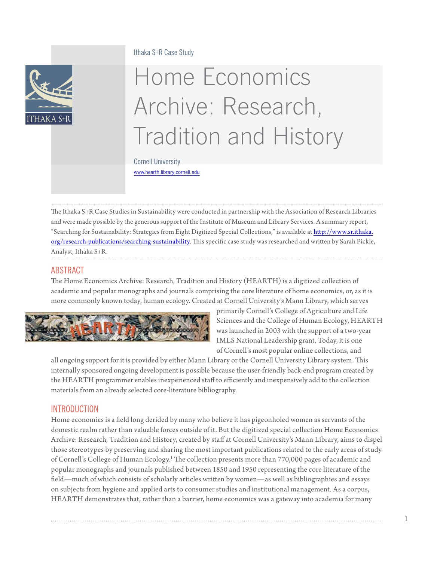#### Ithaka S+R Case Study



# Home Economics Archive: Research, Tradition and History

Cornell University

<www.hearth.library.cornell.edu>

The Ithaka S+R Case Studies in Sustainability were conducted in partnership with the Association of Research Libraries and were made possible by the generous support of the Institute of Museum and Library Services. A summary report, "Searching for Sustainability: Strategies from Eight Digitized Special Collections," is available at [http://www.sr.ithaka.](http://www.sr.ithaka.org/research-publications/searching-sustainability) [org/research-publications/searching-](http://www.sr.ithaka.org/research-publications/searching-sustainability)sustainability. This specific case study was researched and written by Sarah Pickle, Analyst, Ithaka S+R.

# ABSTRACT

The Home Economics Archive: Research, Tradition and History (HEARTH) is a digitized collection of academic and popular monographs and journals comprising the core literature of home economics, or, as it is more commonly known today, human ecology. Created at Cornell University's Mann Library, which serves



primarily Cornell's College of Agriculture and Life Sciences and the College of Human Ecology, HEARTH was launched in 2003 with the support of a two-year IMLS National Leadership grant. Today, it is one of Cornell's most popular online collections, and

all ongoing support for it is provided by either Mann Library or the Cornell University Library system. This internally sponsored ongoing development is possible because the user-friendly back-end program created by the HEARTH programmer enables inexperienced staff to efficiently and inexpensively add to the collection materials from an already selected core-literature bibliography.

## INTRODUCTION

Home economics is a field long derided by many who believe it has pigeonholed women as servants of the domestic realm rather than valuable forces outside of it. But the digitized special collection Home Economics Archive: Research, Tradition and History, created by staff at Cornell University's Mann Library, aims to dispel those stereotypes by preserving and sharing the most important publications related to the early areas of study of Cornell's College of Human Ecology.<sup>[1](#page-8-0)</sup> The collection presents more than 770,000 pages of academic and popular monographs and journals published between 1850 and 1950 representing the core literature of the field—much of which consists of scholarly articles written by women—as well as bibliographies and essays on subjects from hygiene and applied arts to consumer studies and institutional management. As a corpus, HEARTH demonstrates that, rather than a barrier, home economics was a gateway into academia for many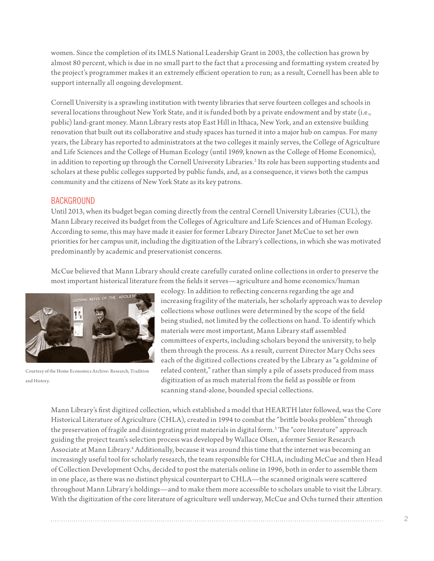women. Since the completion of its IMLS National Leadership Grant in 2003, the collection has grown by almost 80 percent, which is due in no small part to the fact that a processing and formatting system created by the project's programmer makes it an extremely efficient operation to run; as a result, Cornell has been able to support internally all ongoing development.

Cornell University is a sprawling institution with twenty libraries that serve fourteen colleges and schools in several locations throughout New York State, and it is funded both by a private endowment and by state (i.e., public) land-grant money. Mann Library rests atop East Hill in Ithaca, New York, and an extensive building renovation that built out its collaborative and study spaces has turned it into a major hub on campus. For many years, the Library has reported to administrators at the two colleges it mainly serves, the College of Agriculture and Life Sciences and the College of Human Ecology (until 1969, known as the College of Home Economics), in addition to reporting up through the Cornell University Libraries.<sup>[2](#page-8-1)</sup> Its role has been supporting students and scholars at these public colleges supported by public funds, and, as a consequence, it views both the campus community and the citizens of New York State as its key patrons.

#### **BACKGROUND**

Until 2013, when its budget began coming directly from the central Cornell University Libraries (CUL), the Mann Library received its budget from the Colleges of Agriculture and Life Sciences and of Human Ecology. According to some, this may have made it easier for former Library Director Janet McCue to set her own priorities for her campus unit, including the digitization of the Library's collections, in which she was motivated predominantly by academic and preservationist concerns.

McCue believed that Mann Library should create carefully curated online collections in order to preserve the most important historical literature from the fields it serves—agriculture and home economics/human



Courtesy of the Home Economics Archive: Research, Tradition and History.

ecology. In addition to reflecting concerns regarding the age and increasing fragility of the materials, her scholarly approach was to develop collections whose outlines were determined by the scope of the field being studied, not limited by the collections on hand. To identify which materials were most important, Mann Library staff assembled committees of experts, including scholars beyond the university, to help them through the process. As a result, current Director Mary Ochs sees each of the digitized collections created by the Library as "a goldmine of related content," rather than simply a pile of assets produced from mass digitization of as much material from the field as possible or from scanning stand-alone, bounded special collections.

Mann Library's first digitized collection, which established a model that HEARTH later followed, was the Core Historical Literature of Agriculture (CHLA), created in 1994 to combat the "brittle books problem" through the preservation of fragile and disintegrating print materials in digital form.<sup>3</sup> The "core literature" approach guiding the project team's selection process was developed by Wallace Olsen, a former Senior Research Associate at Mann Library[.4](#page-8-3) Additionally, because it was around this time that the internet was becoming an increasingly useful tool for scholarly research, the team responsible for CHLA, including McCue and then Head of Collection Development Ochs, decided to post the materials online in 1996, both in order to assemble them in one place, as there was no distinct physical counterpart to CHLA—the scanned originals were scattered throughout Mann Library's holdings—and to make them more accessible to scholars unable to visit the Library. With the digitization of the core literature of agriculture well underway, McCue and Ochs turned their attention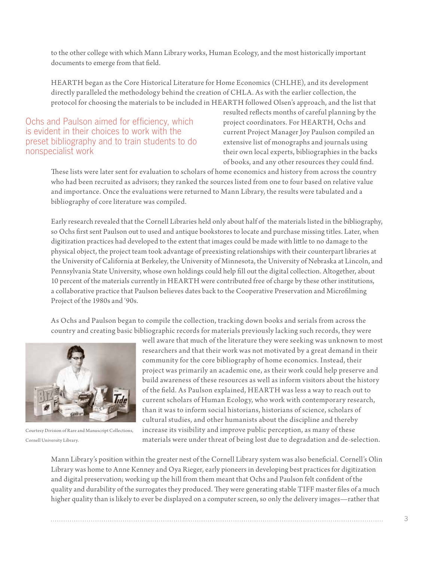to the other college with which Mann Library works, Human Ecology, and the most historically important documents to emerge from that field.

HEARTH began as the Core Historical Literature for Home Economics (CHLHE), and its development directly paralleled the methodology behind the creation of CHLA. As with the earlier collection, the protocol for choosing the materials to be included in HEARTH followed Olsen's approach, and the list that

Ochs and Paulson aimed for efficiency, which is evident in their choices to work with the preset bibliography and to train students to do nonspecialist work

resulted reflects months of careful planning by the project coordinators. For HEARTH, Ochs and current Project Manager Joy Paulson compiled an extensive list of monographs and journals using their own local experts, bibliographies in the backs of books, and any other resources they could find.

These lists were later sent for evaluation to scholars of home economics and history from across the country who had been recruited as advisors; they ranked the sources listed from one to four based on relative value and importance. Once the evaluations were returned to Mann Library, the results were tabulated and a bibliography of core literature was compiled.

Early research revealed that the Cornell Libraries held only about half of the materials listed in the bibliography, so Ochs first sent Paulson out to used and antique bookstores to locate and purchase missing titles. Later, when digitization practices had developed to the extent that images could be made with little to no damage to the physical object, the project team took advantage of preexisting relationships with their counterpart libraries at the University of California at Berkeley, the University of Minnesota, the University of Nebraska at Lincoln, and Pennsylvania State University, whose own holdings could help fill out the digital collection. Altogether, about 10 percent of the materials currently in HEARTH were contributed free of charge by these other institutions, a collaborative practice that Paulson believes dates back to the Cooperative Preservation and Microfilming Project of the 1980s and '90s.

As Ochs and Paulson began to compile the collection, tracking down books and serials from across the country and creating basic bibliographic records for materials previously lacking such records, they were



Courtesy Division of Rare and Manuscript Collections, Cornell University Library.

well aware that much of the literature they were seeking was unknown to most researchers and that their work was not motivated by a great demand in their community for the core bibliography of home economics. Instead, their project was primarily an academic one, as their work could help preserve and build awareness of these resources as well as inform visitors about the history of the field. As Paulson explained, HEARTH was less a way to reach out to current scholars of Human Ecology, who work with contemporary research, than it was to inform social historians, historians of science, scholars of cultural studies, and other humanists about the discipline and thereby increase its visibility and improve public perception, as many of these materials were under threat of being lost due to degradation and de-selection.

Mann Library's position within the greater nest of the Cornell Library system was also beneficial. Cornell's Olin Library was home to Anne Kenney and Oya Rieger, early pioneers in developing best practices for digitization and digital preservation; working up the hill from them meant that Ochs and Paulson felt confident of the quality and durability of the surrogates they produced. They were generating stable TIFF master files of a much higher quality than is likely to ever be displayed on a computer screen, so only the delivery images—rather that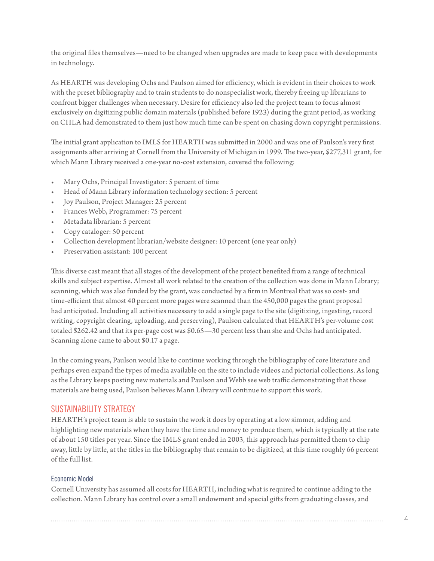the original files themselves—need to be changed when upgrades are made to keep pace with developments in technology.

As HEARTH was developing Ochs and Paulson aimed for efficiency, which is evident in their choices to work with the preset bibliography and to train students to do nonspecialist work, thereby freeing up librarians to confront bigger challenges when necessary. Desire for efficiency also led the project team to focus almost exclusively on digitizing public domain materials (published before 1923) during the grant period, as working on CHLA had demonstrated to them just how much time can be spent on chasing down copyright permissions.

The initial grant application to IMLS for HEARTH was submitted in 2000 and was one of Paulson's very first assignments after arriving at Cornell from the University of Michigan in 1999. The two-year, \$277,311 grant, for which Mann Library received a one-year no-cost extension, covered the following:

- Mary Ochs, Principal Investigator: 5 percent of time
- Head of Mann Library information technology section: 5 percent
- Joy Paulson, Project Manager: 25 percent
- Frances Webb, Programmer: 75 percent
- Metadata librarian: 5 percent
- Copy cataloger: 50 percent
- Collection development librarian/website designer: 10 percent (one year only)
- Preservation assistant: 100 percent

This diverse cast meant that all stages of the development of the project benefited from a range of technical skills and subject expertise. Almost all work related to the creation of the collection was done in Mann Library; scanning, which was also funded by the grant, was conducted by a firm in Montreal that was so cost- and time-efficient that almost 40 percent more pages were scanned than the 450,000 pages the grant proposal had anticipated. Including all activities necessary to add a single page to the site (digitizing, ingesting, record writing, copyright clearing, uploading, and preserving), Paulson calculated that HEARTH's per-volume cost totaled \$262.42 and that its per-page cost was \$0.65—30 percent less than she and Ochs had anticipated. Scanning alone came to about \$0.17 a page.

In the coming years, Paulson would like to continue working through the bibliography of core literature and perhaps even expand the types of media available on the site to include videos and pictorial collections. As long as the Library keeps posting new materials and Paulson and Webb see web traffic demonstrating that those materials are being used, Paulson believes Mann Library will continue to support this work.

## SUSTAINABILITY STRATEGY

HEARTH's project team is able to sustain the work it does by operating at a low simmer, adding and highlighting new materials when they have the time and money to produce them, which is typically at the rate of about 150 titles per year. Since the IMLS grant ended in 2003, this approach has permitted them to chip away, little by little, at the titles in the bibliography that remain to be digitized, at this time roughly 66 percent of the full list.

## Economic Model

Cornell University has assumed all costs for HEARTH, including what is required to continue adding to the collection. Mann Library has control over a small endowment and special gifts from graduating classes, and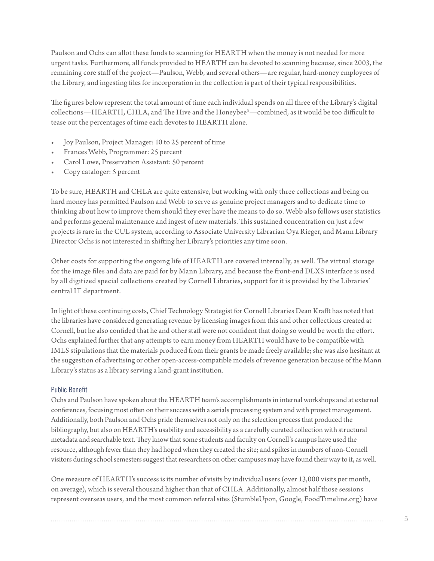Paulson and Ochs can allot these funds to scanning for HEARTH when the money is not needed for more urgent tasks. Furthermore, all funds provided to HEARTH can be devoted to scanning because, since 2003, the remaining core staff of the project—Paulson, Webb, and several others—are regular, hard-money employees of the Library, and ingesting files for incorporation in the collection is part of their typical responsibilities.

The figures below represent the total amount of time each individual spends on all three of the Library's digital collections—HEARTH, CHLA, and The Hive and the Honeybe[e5](#page-8-4) —combined, as it would be too difficult to tease out the percentages of time each devotes to HEARTH alone.

- Joy Paulson, Project Manager: 10 to 25 percent of time
- Frances Webb, Programmer: 25 percent
- Carol Lowe, Preservation Assistant: 50 percent
- Copy cataloger: 5 percent

To be sure, HEARTH and CHLA are quite extensive, but working with only three collections and being on hard money has permitted Paulson and Webb to serve as genuine project managers and to dedicate time to thinking about how to improve them should they ever have the means to do so. Webb also follows user statistics and performs general maintenance and ingest of new materials. This sustained concentration on just a few projects is rare in the CUL system, according to Associate University Librarian Oya Rieger, and Mann Library Director Ochs is not interested in shifting her Library's priorities any time soon.

Other costs for supporting the ongoing life of HEARTH are covered internally, as well. The virtual storage for the image files and data are paid for by Mann Library, and because the front-end DLXS interface is used by all digitized special collections created by Cornell Libraries, support for it is provided by the Libraries' central IT department.

In light of these continuing costs, Chief Technology Strategist for Cornell Libraries Dean Krafft has noted that the libraries have considered generating revenue by licensing images from this and other collections created at Cornell, but he also confided that he and other staff were not confident that doing so would be worth the effort. Ochs explained further that any attempts to earn money from HEARTH would have to be compatible with IMLS stipulations that the materials produced from their grants be made freely available; she was also hesitant at the suggestion of advertising or other open-access-compatible models of revenue generation because of the Mann Library's status as a library serving a land-grant institution.

#### Public Benefit

Ochs and Paulson have spoken about the HEARTH team's accomplishments in internal workshops and at external conferences, focusing most often on their success with a serials processing system and with project management. Additionally, both Paulson and Ochs pride themselves not only on the selection process that produced the bibliography, but also on HEARTH's usability and accessibility as a carefully curated collection with structural metadata and searchable text. They know that some students and faculty on Cornell's campus have used the resource, although fewer than they had hoped when they created the site; and spikes in numbers of non-Cornell visitors during school semesters suggest that researchers on other campuses may have found their way to it, as well.

One measure of HEARTH's success is its number of visits by individual users (over 13,000 visits per month, on average), which is several thousand higher than that of CHLA. Additionally, almost half those sessions represent overseas users, and the most common referral sites (StumbleUpon, Google, [FoodTimeline.org\)](FoodTimeline.org) have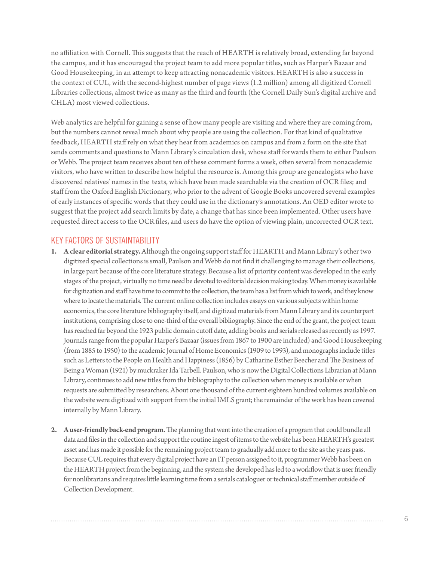no affiliation with Cornell. This suggests that the reach of HEARTH is relatively broad, extending far beyond the campus, and it has encouraged the project team to add more popular titles, such as Harper's Bazaar and Good Housekeeping, in an attempt to keep attracting nonacademic visitors. HEARTH is also a success in the context of CUL, with the second-highest number of page views (1.2 million) among all digitized Cornell Libraries collections, almost twice as many as the third and fourth (the Cornell Daily Sun's digital archive and CHLA) most viewed collections.

Web analytics are helpful for gaining a sense of how many people are visiting and where they are coming from, but the numbers cannot reveal much about why people are using the collection. For that kind of qualitative feedback, HEARTH staff rely on what they hear from academics on campus and from a form on the site that sends comments and questions to Mann Library's circulation desk, whose staff forwards them to either Paulson or Webb. The project team receives about ten of these comment forms a week, often several from nonacademic visitors, who have written to describe how helpful the resource is. Among this group are genealogists who have discovered relatives' names in the texts, which have been made searchable via the creation of OCR files; and staff from the Oxford English Dictionary, who prior to the advent of Google Books uncovered several examples of early instances of specific words that they could use in the dictionary's annotations. An OED editor wrote to suggest that the project add search limits by date, a change that has since been implemented. Other users have requested direct access to the OCR files, and users do have the option of viewing plain, uncorrected OCR [text.](text.KEY)

# [KEY](text.KEY) FACTORS OF SUSTAINTABILITY

- **1. A clear editorial strategy.** Although the ongoing support staff for HEARTH and Mann Library's other two digitized special collections is small, Paulson and Webb do not find it challenging to manage their collections, in large part because of the core literature strategy. Because a list of priority content was developed in the early stages of the project, virtually no time need be devoted to editorial decision making today. When money is available for digitization and staff have time to commit to the collection, the team has a list from which to work, and they know where to locate the materials. The current online collection includes essays on various subjects within home economics, the core literature bibliography itself, and digitized materials from Mann Library and its counterpart institutions, comprising close to one-third of the overall bibliography. Since the end of the grant, the project team has reached far beyond the 1923 public domain cutoff date, adding books and serials released as recently as 1997. Journals range from the popular Harper's Bazaar (issues from 1867 to 1900 are included) and Good Housekeeping (from 1885 to 1950) to the academic Journal of Home Economics (1909 to 1993), and monographs include titles such as Letters to the People on Health and Happiness (1856) by Catharine Esther Beecher and The Business of Being a Woman (1921) by muckraker Ida Tarbell. Paulson, who is now the Digital Collections Librarian at Mann Library, continues to add new titles from the bibliography to the collection when money is available or when requests are submitted by researchers. About one thousand of the current eighteen hundred volumes available on the website were digitized with support from the initial IMLS grant; the remainder of the work has been covered internally by Mann Library.
- **2. A user-friendly back-end program.** The planning that went into the creation of a program that could bundle all data and files in the collection and support the routine ingest of items to the website has been HEARTH's greatest asset and has made it possible for the remaining project team to gradually add more to the site as the years pass. Because CUL requires that every digital project have an IT person assigned to it, programmer Webb has been on the HEARTH project from the beginning, and the system she developed has led to a workflow that is user friendly for nonlibrarians and requires little learning time from a serials cataloguer or technical staff member outside of Collection Development.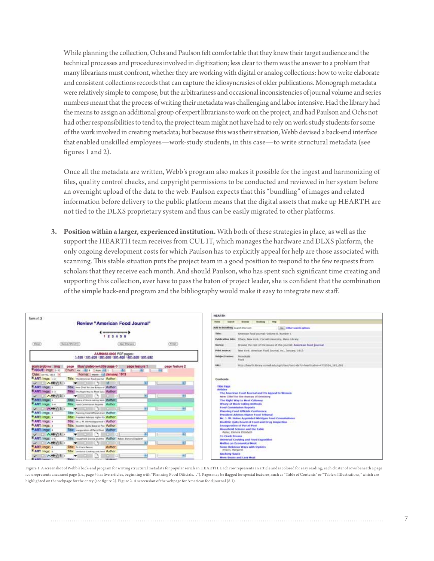While planning the collection, Ochs and Paulson felt comfortable that they knew their target audience and the technical processes and procedures involved in digitization; less clear to them was the answer to a problem that many librarians must confront, whether they are working with digital or analog collections: how to write elaborate and consistent collections records that can capture the idiosyncrasies of older publications. Monograph metadata were relatively simple to compose, but the arbitrariness and occasional inconsistencies of journal volume and series numbers meant that the process of writing their metadata was challenging and labor intensive. Had the library had the means to assign an additional group of expert librarians to work on the project, and had Paulson and Ochs not had other responsibilities to tend to, the project team might not have had to rely on work-study students for some of the work involved in creating metadata; but because this was their situation, Webb devised a back-end interface that enabled unskilled employees—work-study students, in this case—to write structural metadata (see figures 1 and 2).

Once all the metadata are written, Webb's program also makes it possible for the ingest and harmonizing of files, quality control checks, and copyright permissions to be conducted and reviewed in her system before an overnight upload of the data to the web. Paulson expects that this "bundling" of images and related information before delivery to the public platform means that the digital assets that make up HEARTH are not tied to the DLXS proprietary system and thus can be easily migrated to other platforms.

**3. Position within a larger, experienced institution.** With both of these strategies in place, as well as the support the HEARTH team receives from CUL IT, which manages the hardware and DLXS platform, the only ongoing development costs for which Paulson has to explicitly appeal for help are those associated with scanning. This stable situation puts the project team in a good position to respond to the few requests from scholars that they receive each month. And should Paulson, who has spent such significant time creating and supporting this collection, ever have to pass the baton of project leader, she is confident that the combination of the simple back-end program and the bibliography would make it easy to integrate new staff.



Figure 1. A screenshot of Webb's back-end program for writing structural metadata for popular serials in HEARTH. Each row represents an article and is colored for easy reading; each cluster of rows beneath a page icon represents a scanned page (i.e., page 4 has five articles, beginning with "Planning Food Officials…"). Pages may be flagged for special features, such as "Table of Contents" or "Table of Illustrations," which are highlighted on the webpage for the entry (see figure 2). Figure 2. A screenshot of the webpage for American food journal (8.1).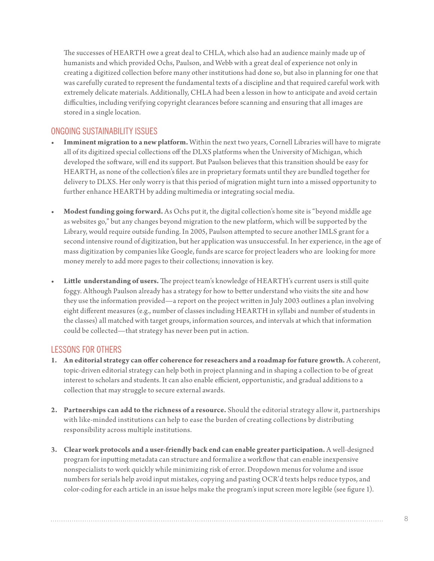The successes of HEARTH owe a great deal to CHLA, which also had an audience mainly made up of humanists and which provided Ochs, Paulson, and Webb with a great deal of experience not only in creating a digitized collection before many other institutions had done so, but also in planning for one that was carefully curated to represent the fundamental texts of a discipline and that required careful work with extremely delicate materials. Additionally, CHLA had been a lesson in how to anticipate and avoid certain difficulties, including verifying copyright clearances before scanning and ensuring that all images are stored in a single location.

# ONGOING SUSTAINABILITY ISSUES

- Imminent migration to a new platform. Within the next two years, Cornell Libraries will have to migrate all of its digitized special collections off the DLXS platforms when the University of Michigan, which developed the software, will end its support. But Paulson believes that this transition should be easy for HEARTH, as none of the collection's files are in proprietary formats until they are bundled together for delivery to DLXS. Her only worry is that this period of migration might turn into a missed opportunity to further enhance HEARTH by adding multimedia or integrating social media.
- **• Modest funding going forward.** As Ochs put it, the digital collection's home site is "beyond middle age as websites go," but any changes beyond migration to the new platform, which will be supported by the Library, would require outside funding. In 2005, Paulson attempted to secure another IMLS grant for a second intensive round of digitization, but her application was unsuccessful. In her experience, in the age of mass digitization by companies like Google, funds are scarce for project leaders who are looking for more money merely to add more pages to their collections; innovation is key.
- Little understanding of users. The project team's knowledge of HEARTH's current users is still quite foggy. Although Paulson already has a strategy for how to better understand who visits the site and how they use the information provided—a report on the project written in July 2003 outlines a plan involving eight different measures (e.g., number of classes including HEARTH in syllabi and number of students in the classes) all matched with target groups, information sources, and intervals at which that information could be collected—that strategy has never been put in action.

## LESSONS FOR OTHERS

- **1. An editorial strategy can offer coherence for reseachers and a roadmap for future growth.** A coherent, topic-driven editorial strategy can help both in project planning and in shaping a collection to be of great interest to scholars and students. It can also enable efficient, opportunistic, and gradual additions to a collection that may struggle to secure external awards.
- **2. Partnerships can add to the richness of a resource.** Should the editorial strategy allow it, partnerships with like-minded institutions can help to ease the burden of creating collections by distributing responsibility across multiple institutions.
- **3. Clear work protocols and a user-friendly back end can enable greater participation.** A well-designed program for inputting metadata can structure and formalize a workflow that can enable inexpensive nonspecialists to work quickly while minimizing risk of error. Dropdown menus for volume and issue numbers for serials help avoid input mistakes, copying and pasting OCR'd texts helps reduce typos, and color-coding for each article in an issue helps make the program's input screen more legible (see figure 1).